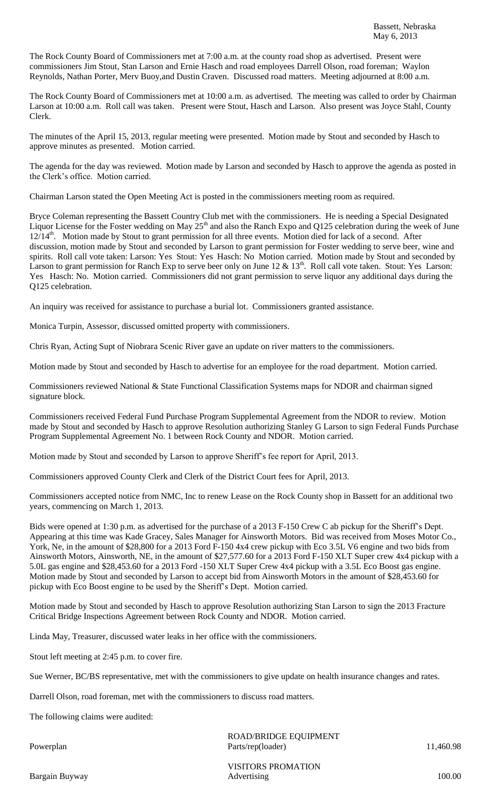The Rock County Board of Commissioners met at 7:00 a.m. at the county road shop as advertised. Present were commissioners Jim Stout, Stan Larson and Ernie Hasch and road employees Darrell Olson, road foreman; Waylon Reynolds, Nathan Porter, Merv Buoy,and Dustin Craven. Discussed road matters. Meeting adjourned at 8:00 a.m.

The Rock County Board of Commissioners met at 10:00 a.m. as advertised. The meeting was called to order by Chairman Larson at 10:00 a.m. Roll call was taken. Present were Stout, Hasch and Larson. Also present was Joyce Stahl, County Clerk.

The minutes of the April 15, 2013, regular meeting were presented. Motion made by Stout and seconded by Hasch to approve minutes as presented. Motion carried.

The agenda for the day was reviewed. Motion made by Larson and seconded by Hasch to approve the agenda as posted in the Clerk's office. Motion carried.

Chairman Larson stated the Open Meeting Act is posted in the commissioners meeting room as required.

Bryce Coleman representing the Bassett Country Club met with the commissioners. He is needing a Special Designated Liquor License for the Foster wedding on May 25<sup>th</sup> and also the Ranch Expo and Q125 celebration during the week of June 12/14<sup>th</sup>. Motion made by Stout to grant permission for all three events. Motion died for lack of a second. After discussion, motion made by Stout and seconded by Larson to grant permission for Foster wedding to serve beer, wine and spirits. Roll call vote taken: Larson: Yes Stout: Yes Hasch: No Motion carried. Motion made by Stout and seconded by Larson to grant permission for Ranch Exp to serve beer only on June 12 & 13<sup>th</sup>. Roll call vote taken. Stout: Yes Larson: Yes Hasch: No. Motion carried. Commissioners did not grant permission to serve liquor any additional days during the Q125 celebration.

An inquiry was received for assistance to purchase a burial lot. Commissioners granted assistance.

Monica Turpin, Assessor, discussed omitted property with commissioners.

Chris Ryan, Acting Supt of Niobrara Scenic River gave an update on river matters to the commissioners.

Motion made by Stout and seconded by Hasch to advertise for an employee for the road department. Motion carried.

Commissioners reviewed National & State Functional Classification Systems maps for NDOR and chairman signed signature block.

Commissioners received Federal Fund Purchase Program Supplemental Agreement from the NDOR to review. Motion made by Stout and seconded by Hasch to approve Resolution authorizing Stanley G Larson to sign Federal Funds Purchase Program Supplemental Agreement No. 1 between Rock County and NDOR. Motion carried.

Motion made by Stout and seconded by Larson to approve Sheriff's fee report for April, 2013.

Commissioners approved County Clerk and Clerk of the District Court fees for April, 2013.

Commissioners accepted notice from NMC, Inc to renew Lease on the Rock County shop in Bassett for an additional two years, commencing on March 1, 2013.

Bids were opened at 1:30 p.m. as advertised for the purchase of a 2013 F-150 Crew C ab pickup for the Sheriff's Dept. Appearing at this time was Kade Gracey, Sales Manager for Ainsworth Motors. Bid was received from Moses Motor Co., York, Ne, in the amount of \$28,800 for a 2013 Ford F-150 4x4 crew pickup with Eco 3.5L V6 engine and two bids from Ainsworth Motors, Ainsworth, NE, in the amount of \$27,577.60 for a 2013 Ford F-150 XLT Super crew 4x4 pickup with a 5.0L gas engine and \$28,453.60 for a 2013 Ford -150 XLT Super Crew 4x4 pickup with a 3.5L Eco Boost gas engine. Motion made by Stout and seconded by Larson to accept bid from Ainsworth Motors in the amount of \$28,453.60 for pickup with Eco Boost engine to be used by the Sheriff's Dept. Motion carried.

Motion made by Stout and seconded by Hasch to approve Resolution authorizing Stan Larson to sign the 2013 Fracture Critical Bridge Inspections Agreement between Rock County and NDOR. Motion carried.

Linda May, Treasurer, discussed water leaks in her office with the commissioners.

Stout left meeting at 2:45 p.m. to cover fire.

Sue Werner, BC/BS representative, met with the commissioners to give update on health insurance changes and rates.

Darrell Olson, road foreman, met with the commissioners to discuss road matters.

The following claims were audited:

ROAD/BRIDGE EQUIPMENT Powerplan Parts/rep(loader) 11,460.98

VISITORS PROMATION Bargain Buyway 100.00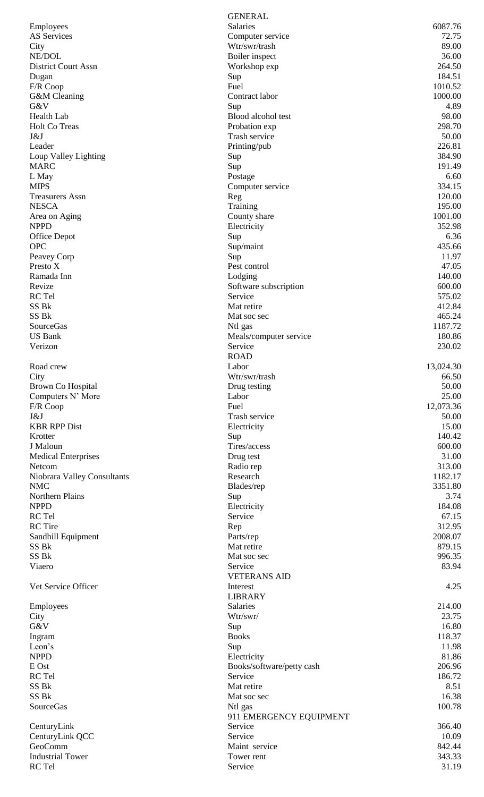|                             | <b>GENERAL</b>            |           |
|-----------------------------|---------------------------|-----------|
| Employees                   | <b>Salaries</b>           | 6087.76   |
| AS Services                 | Computer service          | 72.75     |
| City                        | Wtr/swr/trash             | 89.00     |
| NE/DOL                      | Boiler inspect            | 36.00     |
| <b>District Court Assn</b>  | Workshop exp              | 264.50    |
| Dugan                       | Sup                       | 184.51    |
| F/R Coop                    | Fuel                      | 1010.52   |
| G&M Cleaning                | Contract labor            | 1000.00   |
| G&V                         | Sup                       | 4.89      |
| Health Lab                  | Blood alcohol test        | 98.00     |
| Holt Co Treas               | Probation exp             | 298.70    |
| J&J                         | Trash service             | 50.00     |
| Leader                      | Printing/pub              | 226.81    |
| Loup Valley Lighting        | Sup                       | 384.90    |
| <b>MARC</b>                 | Sup                       | 191.49    |
| L May                       | Postage                   | 6.60      |
| <b>MIPS</b>                 | Computer service          | 334.15    |
| <b>Treasurers Assn</b>      | Reg                       | 120.00    |
| <b>NESCA</b>                | Training                  | 195.00    |
| Area on Aging               | County share              | 1001.00   |
| <b>NPPD</b>                 | Electricity               | 352.98    |
| <b>Office Depot</b>         | Sup                       | 6.36      |
| <b>OPC</b>                  | Sup/maint                 | 435.66    |
| Peavey Corp                 | Sup                       | 11.97     |
| Presto X                    | Pest control              | 47.05     |
| Ramada Inn                  | Lodging                   | 140.00    |
| Revize                      | Software subscription     | 600.00    |
| RC Tel                      | Service                   | 575.02    |
| SS Bk                       | Mat retire                | 412.84    |
| SS Bk                       | Mat soc sec               | 465.24    |
| SourceGas                   | Ntl gas                   | 1187.72   |
| <b>US Bank</b>              | Meals/computer service    | 180.86    |
| Verizon                     | Service                   | 230.02    |
|                             | <b>ROAD</b>               |           |
| Road crew                   | Labor                     | 13,024.30 |
| City                        | Wtr/swr/trash             | 66.50     |
| Brown Co Hospital           | Drug testing              | 50.00     |
| Computers N' More           | Labor                     | 25.00     |
| F/R Coop                    | Fuel                      | 12,073.36 |
| J&J                         | Trash service             | 50.00     |
| <b>KBR RPP Dist</b>         | Electricity               | 15.00     |
| Krotter                     | Sup                       | 140.42    |
| J Maloun                    | Tires/access              | 600.00    |
| <b>Medical Enterprises</b>  | Drug test                 | 31.00     |
| Netcom                      | Radio rep                 | 313.00    |
| Niobrara Valley Consultants | Research                  | 1182.17   |
| <b>NMC</b>                  | Blades/rep                | 3351.80   |
| Northern Plains             | Sup                       | 3.74      |
| <b>NPPD</b>                 | Electricity               | 184.08    |
| RC Tel                      | Service                   | 67.15     |
| <b>RC</b> Tire              |                           | 312.95    |
|                             | Rep                       | 2008.07   |
| Sandhill Equipment          | Parts/rep                 |           |
| SS Bk<br>SS Bk              | Mat retire                | 879.15    |
|                             | Mat soc sec               | 996.35    |
| Viaero                      | Service                   | 83.94     |
|                             | <b>VETERANS AID</b>       |           |
| Vet Service Officer         | Interest                  | 4.25      |
|                             | <b>LIBRARY</b>            |           |
| Employees                   | Salaries                  | 214.00    |
| City                        | Wtr/swr/                  | 23.75     |
| G&V                         | Sup                       | 16.80     |
| Ingram                      | <b>Books</b>              | 118.37    |
| Leon's                      | Sup                       | 11.98     |
| <b>NPPD</b>                 | Electricity               | 81.86     |
| E Ost                       | Books/software/petty cash | 206.96    |
| RC Tel                      | Service                   | 186.72    |
| SS Bk                       | Mat retire                | 8.51      |
| SS Bk                       | Mat soc sec               | 16.38     |
| <b>SourceGas</b>            | Ntl gas                   | 100.78    |
|                             | 911 EMERGENCY EQUIPMENT   |           |
| CenturyLink                 | Service                   | 366.40    |
| CenturyLink QCC             | Service                   | 10.09     |
| GeoComm                     | Maint service             | 842.44    |
| <b>Industrial Tower</b>     | Tower rent                | 343.33    |
| RC Tel                      | Service                   | 31.19     |